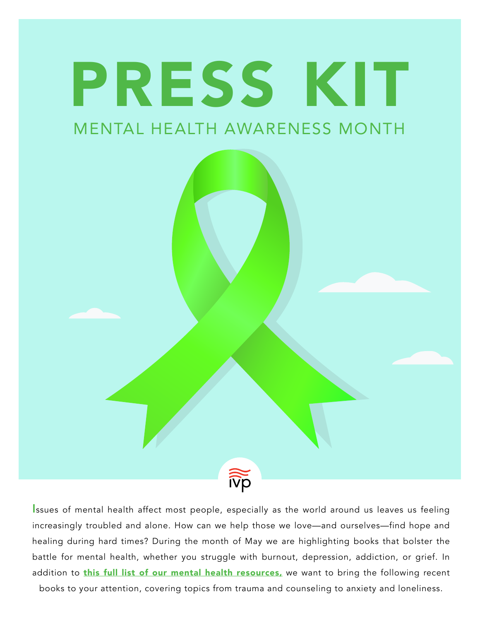

Issues of mental health affect most people, especially as the world around us leaves us feeling increasingly troubled and alone. How can we help those we love—and ourselves—find hope and healing during hard times? During the month of May we are highlighting books that bolster the battle for mental health, whether you struggle with burnout, depression, addiction, or grief. In addition to **this full list of our mental health resources**, we want to bring the following recent

books to your attention, covering topics from trauma and counseling to anxiety and loneliness.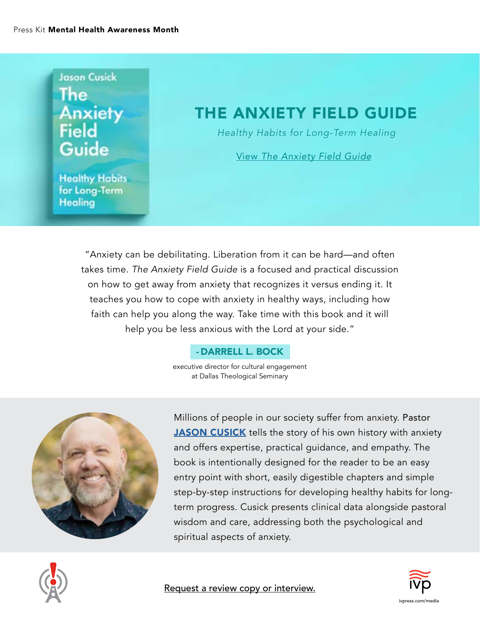## **Jason Cusick** The **Anxiety Field** Guide

### THE ANXIETY FIELD GUIDE

*Healthy Habits for Long-Term Healing*

View *[The Anxiety Field Guide](https://www.ivpress.com/the-anxiety-field-guide)*

**Healthy Habits** for Long-Term **Healing** 

> "Anxiety can be debilitating. Liberation from it can be hard—and often takes time. *The Anxiety Field Guide* is a focused and practical discussion on how to get away from anxiety that recognizes it versus ending it. It teaches you how to cope with anxiety in healthy ways, including how faith can help you along the way. Take time with this book and it will help you be less anxious with the Lord at your side."

#### - DARRELL L. BOCK

executive director for cultural engagement at Dallas Theological Seminary



Millions of people in our society suffer from anxiety. Pastor [JASON CUSICK](https://www.ivpress.com/jason-cusick) tells the story of his own history with anxiety and offers expertise, practical guidance, and empathy. The book is intentionally designed for the reader to be an easy entry point with short, easily digestible chapters and simple step-by-step instructions for developing healthy habits for longterm progress. Cusick presents clinical data alongside pastoral wisdom and care, addressing both the psychological and spiritual aspects of anxiety.



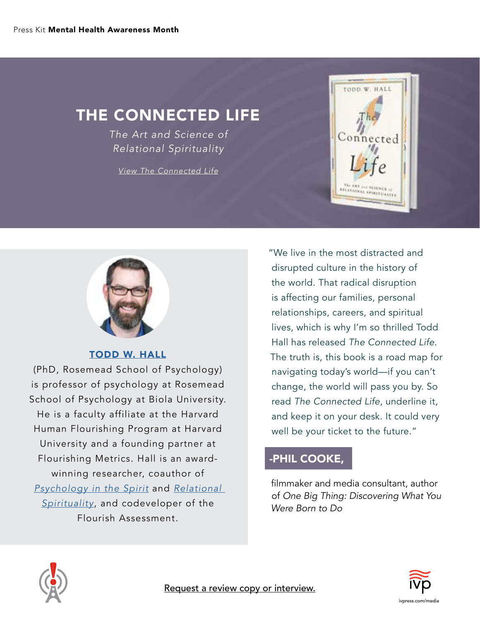### THE CONNECTED LIFE

*The Art and Science of Relational Spirituality*

*[View The Connected Life](https://www.ivpress.com/the-connected-life)*





[TODD W. HALL](https://www.drtoddhall.com/)

(PhD, Rosemead School of Psychology) is professor of psychology at Rosemead School of Psychology at Biola University. He is a faculty affiliate at the Harvard Human Flourishing Program at Harvard University and a founding partner at Flourishing Metrics. Hall is an awardwinning researcher, coauthor of *[Psychology in the Spirit](https://www.ivpress.com/psychology-in-the-spirit)* and *[Relational](https://www.ivpress.com/relational-spirituality)  [Spirituality](https://www.ivpress.com/relational-spirituality)*, and codeveloper of the Flourish Assessment.

"We live in the most distracted and disrupted culture in the history of the world. That radical disruption is affecting our families, personal relationships, careers, and spiritual lives, which is why I'm so thrilled Todd Hall has released *The Connected Life*. The truth is, this book is a road map for navigating today's world—if you can't change, the world will pass you by. So read *The Connected Life*, underline it, and keep it on your desk. It could very well be your ticket to the future."

#### -PHIL COOKE,

filmmaker and media consultant, author of *One Big Thing: Discovering What You Were Born to Do*



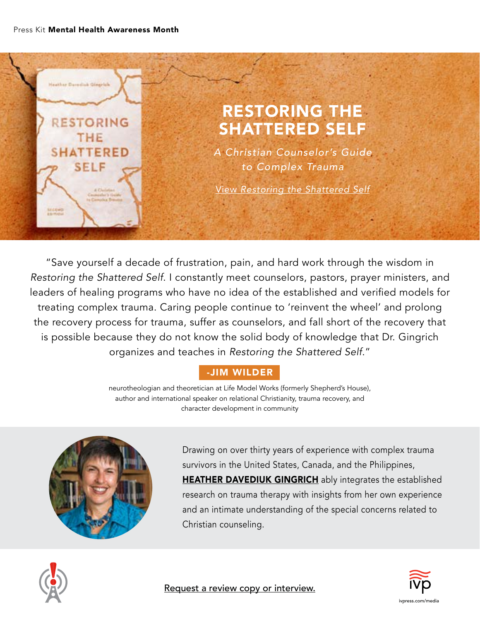

"Save yourself a decade of frustration, pain, and hard work through the wisdom in *Restoring the Shattered Self*. I constantly meet counselors, pastors, prayer ministers, and leaders of healing programs who have no idea of the established and verified models for treating complex trauma. Caring people continue to 'reinvent the wheel' and prolong the recovery process for trauma, suffer as counselors, and fall short of the recovery that is possible because they do not know the solid body of knowledge that Dr. Gingrich organizes and teaches in *Restoring the Shattered Self*."

#### -JIM WILDER

neurotheologian and theoretician at Life Model Works (formerly Shepherd's House), author and international speaker on relational Christianity, trauma recovery, and character development in community



Drawing on over thirty years of experience with complex trauma survivors in the United States, Canada, and the Philippines, **[HEATHER DAVEDIUK GINGRICH](https://www.heathergingrich.com/index.php)** ably integrates the established research on trauma therapy with insights from her own experience and an intimate understanding of the special concerns related to Christian counseling.





[Request a review copy or interview.](https://www.ivpress.com/media-and-publicity/publicity-request-form)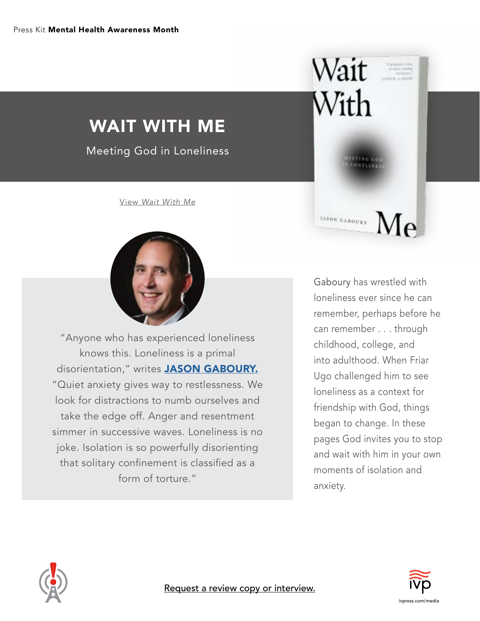# WAIT WITH ME

Meeting God in Loneliness

View *[Wait With Me](https://www.ivpress.com/wait-with-me)*



"Anyone who has experienced loneliness knows this. Loneliness is a primal disorientation," writes **[JASON GABOURY.](https://www.jasongaboury.com/)** "Quiet anxiety gives way to restlessness. We look for distractions to numb ourselves and take the edge off. Anger and resentment simmer in successive waves. Loneliness is no joke. Isolation is so powerfully disorienting that solitary confinement is classified as a form of torture."

Gaboury has wrestled with loneliness ever since he can remember, perhaps before he can remember . . . through childhood, college, and into adulthood. When Friar Ugo challenged him to see loneliness as a context for friendship with God, things began to change. In these pages God invites you to stop and wait with him in your own moments of isolation and anxiety.

Wait =

**MARGAROURY** Me

 $With$ 





[Request a review copy or interview.](https://www.ivpress.com/media-and-publicity/publicity-request-form)

[ivpress.com/media](https://www.ivpress.com/media-and-publicity)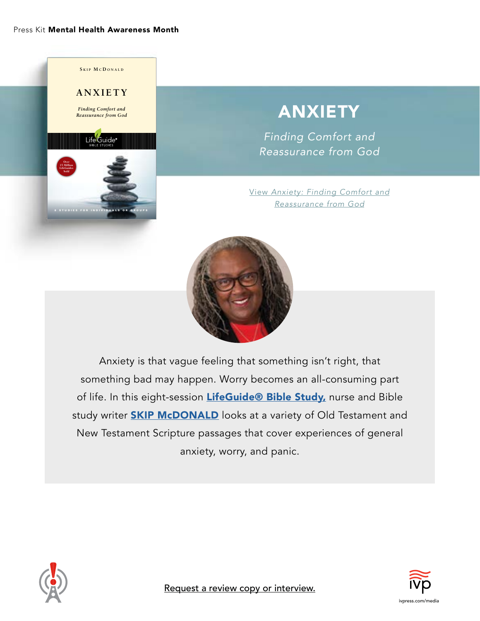

# ANXIETY

*Finding Comfort and Reassurance from God*

View *[Anxiety: Finding Comfort and](https://www.ivpress.com/anxiety-lbs) Reassurance from God*



Anxiety is that vague feeling that something isn't right, that something bad may happen. Worry becomes an all-consuming part of life. In this eight-session [LifeGuide® Bible Study,](https://www.ivpress.com/lifeguide-bible-studies) nurse and Bible study writer **[SKIP McDONALD](https://www.ivpress.com/skip-mcdonald)** looks at a variety of Old Testament and New Testament Scripture passages that cover experiences of general anxiety, worry, and panic.